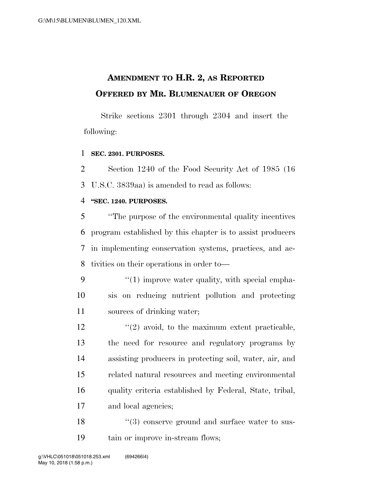# **AMENDMENT TO H.R. 2, AS REPORTED OFFERED BY MR. BLUMENAUER OF OREGON**

Strike sections 2301 through 2304 and insert the following:

# **SEC. 2301. PURPOSES.**

 Section 1240 of the Food Security Act of 1985 (16 U.S.C. 3839aa) is amended to read as follows:

### **''SEC. 1240. PURPOSES.**

 ''The purpose of the environmental quality incentives program established by this chapter is to assist producers in implementing conservation systems, practices, and ac-tivities on their operations in order to—

- 9 "(1) improve water quality, with special empha- sis on reducing nutrient pollution and protecting sources of drinking water;
- $'$ (2) avoid, to the maximum extent practicable, the need for resource and regulatory programs by assisting producers in protecting soil, water, air, and related natural resources and meeting environmental quality criteria established by Federal, State, tribal, and local agencies;
- 18 ''(3) conserve ground and surface water to sus-tain or improve in-stream flows;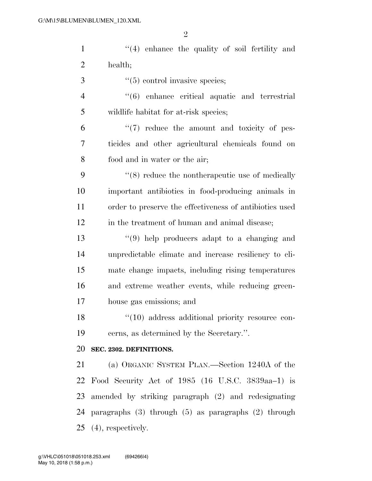| $\mathbf{1}$   | $(4)$ enhance the quality of soil fertility and            |
|----------------|------------------------------------------------------------|
| $\overline{2}$ | health;                                                    |
| 3              | $\lq(5)$ control invasive species;                         |
| $\overline{4}$ | "(6) enhance critical aquatic and terrestrial              |
| 5              | wildlife habitat for at-risk species;                      |
| 6              | "(7) reduce the amount and toxicity of pes-                |
| 7              | ticides and other agricultural chemicals found on          |
| 8              | food and in water or the air;                              |
| 9              | $\lq(8)$ reduce the nontherapeutic use of medically        |
| 10             | important antibiotics in food-producing animals in         |
| 11             | order to preserve the effectiveness of antibiotics used    |
| 12             | in the treatment of human and animal disease;              |
| 13             | $(9)$ help producers adapt to a changing and               |
| 14             | unpredictable climate and increase resiliency to cli-      |
| 15             | mate change impacts, including rising temperatures         |
| 16             | and extreme weather events, while reducing green-          |
| 17             | house gas emissions; and                                   |
| 18             | $\lq(10)$ address additional priority resource con-        |
| 19             | cerns, as determined by the Secretary.".                   |
| 20             | SEC. 2302. DEFINITIONS.                                    |
| 21             | (a) ORGANIC SYSTEM PLAN.—Section 1240A of the              |
| 22             | Food Security Act of 1985 (16 U.S.C. 3839aa-1) is          |
| 23             | amended by striking paragraph (2) and redesignating        |
| 24             | paragraphs $(3)$ through $(5)$ as paragraphs $(2)$ through |
|                | 25 $(4)$ , respectively.                                   |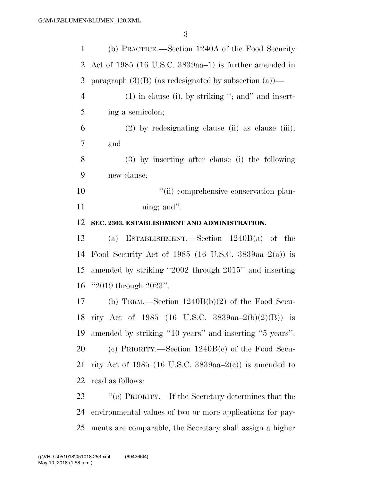| $\mathbf{1}$   | (b) PRACTICE.—Section 1240A of the Food Security           |
|----------------|------------------------------------------------------------|
| 2              | Act of 1985 (16 U.S.C. 3839aa–1) is further amended in     |
| 3              | paragraph $(3)(B)$ (as redesignated by subsection $(a)$ )— |
| $\overline{4}$ | $(1)$ in clause (i), by striking "; and" and insert-       |
| 5              | ing a semicolon;                                           |
| 6              | $(2)$ by redesignating clause (ii) as clause (iii);        |
| $\tau$         | and                                                        |
| 8              | (3) by inserting after clause (i) the following            |
| 9              | new clause:                                                |
| 10             | "(ii) comprehensive conservation plan-                     |
| 11             | ning; and".                                                |
| 12             | SEC. 2303. ESTABLISHMENT AND ADMINISTRATION.               |
| 13             | (a) ESTABLISHMENT.—Section $1240B(a)$ of the               |
| 14             | Food Security Act of 1985 (16 U.S.C. 3839aa-2(a)) is       |
|                |                                                            |
| 15             | amended by striking "2002 through 2015" and inserting      |
| 16             | " $2019$ through $2023$ ".                                 |
| 17             | (b) TERM.—Section $1240B(b)(2)$ of the Food Secu-          |
|                | 18 rity Act of 1985 (16 U.S.C. 3839aa-2(b)(2)(B)) is       |
|                | amended by striking "10 years" and inserting "5 years".    |
| 19<br>20       | (c) PRIORITY.—Section $1240B(c)$ of the Food Secu-         |
| 21             | rity Act of 1985 (16 U.S.C. 3839aa–2(c)) is amended to     |
| 22             | read as follows:                                           |
| 23             | "(c) PRIORITY.—If the Secretary determines that the        |

ments are comparable, the Secretary shall assign a higher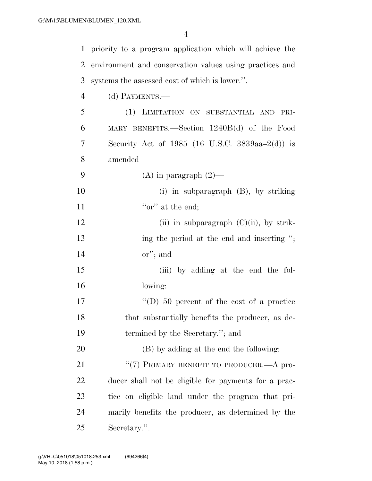| $\mathbf{1}$   | priority to a program application which will achieve the |
|----------------|----------------------------------------------------------|
| 2              | environment and conservation values using practices and  |
| 3              | systems the assessed cost of which is lower.".           |
| $\overline{4}$ | (d) PAYMENTS.—                                           |
| 5              | (1) LIMITATION ON SUBSTANTIAL AND PRI-                   |
| 6              | MARY BENEFITS.—Section 1240B(d) of the Food              |
| 7              | Security Act of 1985 (16 U.S.C. 3839aa-2(d)) is          |
| 8              | amended—                                                 |
| 9              | (A) in paragraph $(2)$ —                                 |
| 10             | (i) in subparagraph $(B)$ , by striking                  |
| 11             | "or" at the end;                                         |
| 12             | (ii) in subparagraph $(C)(ii)$ , by strik-               |
| 13             | ing the period at the end and inserting ";               |
| 14             | $\text{or}''$ ; and                                      |
| 15             | (iii) by adding at the end the fol-                      |
| 16             | lowing:                                                  |
| 17             | "(D) 50 percent of the cost of a practice"               |
| 18             | that substantially benefits the producer, as de-         |
| 19             | termined by the Secretary."; and                         |
| 20             | (B) by adding at the end the following:                  |
| 21             | "(7) PRIMARY BENEFIT TO PRODUCER.—A pro-                 |
| 22             | ducer shall not be eligible for payments for a prac-     |
| 23             | tice on eligible land under the program that pri-        |
| 24             | marily benefits the producer, as determined by the       |
| 25             | Secretary.".                                             |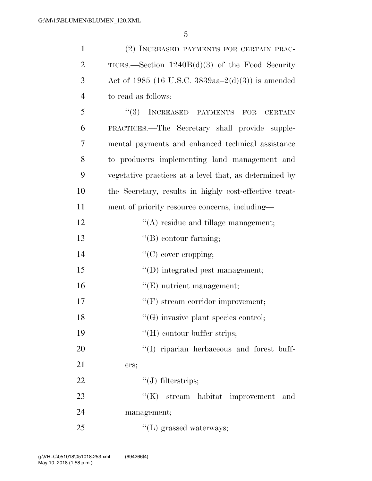| $\mathbf{1}$   | (2) INCREASED PAYMENTS FOR CERTAIN PRAC-               |
|----------------|--------------------------------------------------------|
| $\overline{2}$ | TICES.—Section $1240B(d)(3)$ of the Food Security      |
| 3              | Act of 1985 (16 U.S.C. 3839aa–2(d)(3)) is amended      |
| $\overline{4}$ | to read as follows:                                    |
| 5              | $(3)$ INCREASED PAYMENTS FOR<br><b>CERTAIN</b>         |
| 6              | PRACTICES.—The Secretary shall provide supple-         |
| 7              | mental payments and enhanced technical assistance      |
| 8              | to producers implementing land management and          |
| 9              | vegetative practices at a level that, as determined by |
| 10             | the Secretary, results in highly cost-effective treat- |
| 11             | ment of priority resource concerns, including-         |
| 12             | $\lq\lq$ residue and tillage management;               |
| 13             | $\lq\lq (B)$ contour farming;                          |
| 14             | $\lq\lq$ (C) cover cropping;                           |
| 15             | "(D) integrated pest management;                       |
| 16             | $\lq\lq(E)$ nutrient management;                       |
| 17             | $\lq\lq(F)$ stream corridor improvement;               |
| 18             | $\lq\lq(G)$ invasive plant species control;            |
| 19             | "(H) contour buffer strips;                            |
| 20             | "(I) riparian herbaceous and forest buff-              |
| 21             | ers;                                                   |
| 22             | $\lq\lq(J)$ filterstrips;                              |
| 23             | $\lq\lq(K)$ stream habitat improvement<br>and          |
| 24             | management;                                            |
| 25             | $\lq\lq(L)$ grassed waterways;                         |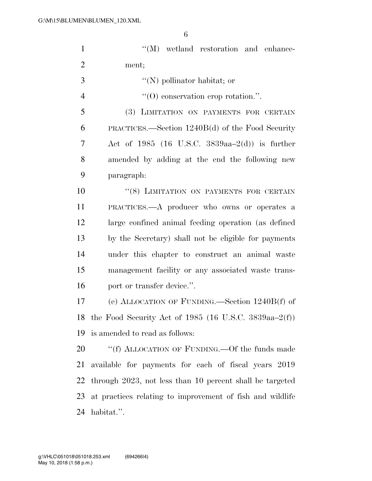| $\mathbf{1}$   | "(M) wetland restoration and enhance-                     |
|----------------|-----------------------------------------------------------|
| $\overline{2}$ | ment;                                                     |
| 3              | $\lq\lq(N)$ pollinator habitat; or                        |
| $\overline{4}$ | $\lq(0)$ conservation crop rotation.".                    |
| 5              | (3) LIMITATION ON PAYMENTS FOR CERTAIN                    |
| 6              | PRACTICES.—Section 1240B(d) of the Food Security          |
| 7              | Act of 1985 (16 U.S.C. 3839aa-2(d)) is further            |
| 8              | amended by adding at the end the following new            |
| 9              | paragraph:                                                |
| 10             | "(8) LIMITATION ON PAYMENTS FOR CERTAIN                   |
| 11             | PRACTICES.—A producer who owns or operates a              |
| 12             | large confined animal feeding operation (as defined       |
| 13             | by the Secretary) shall not be eligible for payments      |
| 14             | under this chapter to construct an animal waste           |
| 15             | management facility or any associated waste trans-        |
| 16             | port or transfer device.".                                |
| 17             | (e) ALLOCATION OF FUNDING.—Section $1240B(f)$ of          |
|                | 18 the Food Security Act of 1985 (16 U.S.C. 3839aa-2(f))  |
| 19             | is amended to read as follows:                            |
| 20             | "(f) ALLOCATION OF FUNDING.—Of the funds made             |
| 21             | available for payments for each of fiscal years 2019      |
| 22             | through 2023, not less than 10 percent shall be targeted  |
| 23             | at practices relating to improvement of fish and wildlife |
| 24             | habitat.".                                                |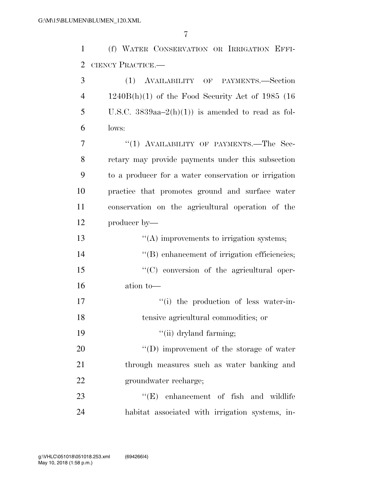(f) WATER CONSERVATION OR IRRIGATION EFFI-CIENCY PRACTICE.—

 (1) AVAILABILITY OF PAYMENTS.—Section 1240B(h)(1) of the Food Security Act of 1985 (16 5 U.S.C.  $3839aa-2(h)(1)$  is amended to read as fol- lows: 7 "(1) AVAILABILITY OF PAYMENTS.—The Sec- retary may provide payments under this subsection to a producer for a water conservation or irrigation practice that promotes ground and surface water conservation on the agricultural operation of the producer by—  $\cdot$  ''(A) improvements to irrigation systems; ''(B) enhancement of irrigation efficiencies; 15 "(C) conversion of the agricultural oper- ation to—  $\frac{1}{10}$  the production of less water-in- tensive agricultural commodities; or 19 ''(ii) dryland farming;  $\text{``(D) improvement of the storage of water}$  through measures such as water banking and groundwater recharge;

23  $\text{``(E)}$  enhancement of fish and wildlife habitat associated with irrigation systems, in-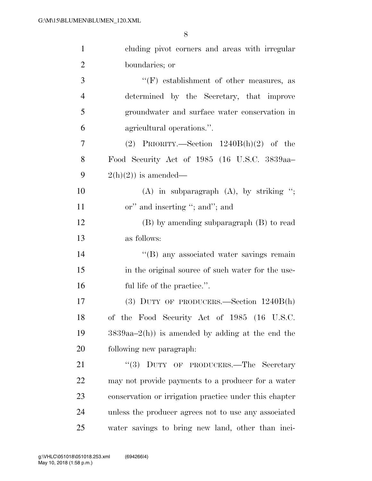| $\mathbf{1}$   | cluding pivot corners and areas with irregular         |
|----------------|--------------------------------------------------------|
| $\overline{2}$ | boundaries; or                                         |
| 3              | $\lq\lq(F)$ establishment of other measures, as        |
| $\overline{4}$ | determined by the Secretary, that improve              |
| 5              | groundwater and surface water conservation in          |
| 6              | agricultural operations.".                             |
| 7              | (2) PRIORITY.—Section $1240B(h)(2)$ of the             |
| 8              | Food Security Act of 1985 (16 U.S.C. 3839aa-           |
| 9              | $2(h)(2)$ is amended—                                  |
| 10             | $(A)$ in subparagraph $(A)$ , by striking ";           |
| 11             | or" and inserting "; and"; and                         |
| 12             | $(B)$ by amending subparagraph $(B)$ to read           |
| 13             | as follows:                                            |
| 14             | "(B) any associated water savings remain               |
| 15             | in the original source of such water for the use-      |
| 16             | ful life of the practice.".                            |
| 17             | (3) DUTY OF PRODUCERS.—Section $1240B(h)$              |
| 18             | of the Food Security Act of 1985 (16 U.S.C.            |
| 19             | $3839aa-2(h)$ is amended by adding at the end the      |
| 20             | following new paragraph.                               |
| 21             | "(3) DUTY OF PRODUCERS.—The Secretary                  |
| 22             | may not provide payments to a producer for a water     |
| 23             | conservation or irrigation practice under this chapter |
| 24             | unless the producer agrees not to use any associated   |
| 25             | water savings to bring new land, other than inci-      |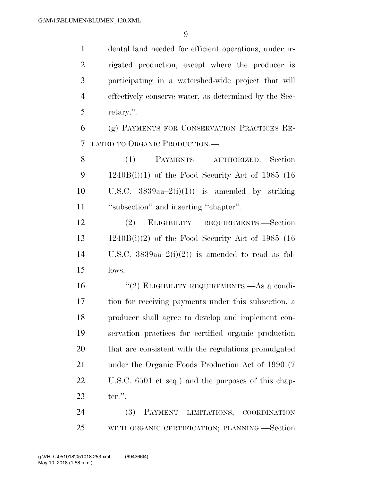dental land needed for efficient operations, under ir- rigated production, except where the producer is participating in a watershed-wide project that will effectively conserve water, as determined by the Sec-retary.''.

 (g) PAYMENTS FOR CONSERVATION PRACTICES RE-LATED TO ORGANIC PRODUCTION.—

 (1) PAYMENTS AUTHORIZED.—Section 1240B(i)(1) of the Food Security Act of 1985 (16 10 U.S.C.  $3839aa-2(i)(1)$  is amended by striking ''subsection'' and inserting ''chapter''.

 (2) ELIGIBILITY REQUIREMENTS.—Section 1240B(i)(2) of the Food Security Act of 1985 (16 14 U.S.C.  $3839aa-2(i)(2)$  is amended to read as fol-lows:

 ''(2) ELIGIBILITY REQUIREMENTS.—As a condi- tion for receiving payments under this subsection, a producer shall agree to develop and implement con- servation practices for certified organic production that are consistent with the regulations promulgated under the Organic Foods Production Act of 1990 (7 U.S.C. 6501 et seq.) and the purposes of this chap-ter.''.

 (3) PAYMENT LIMITATIONS; COORDINATION WITH ORGANIC CERTIFICATION; PLANNING.—Section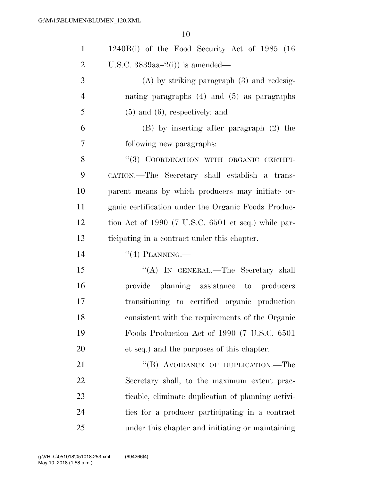| $\mathbf{1}$   | $1240B(i)$ of the Food Security Act of 1985 (16)    |
|----------------|-----------------------------------------------------|
| $\overline{2}$ | U.S.C. $3839aa-2(i)$ is amended—                    |
| 3              | $(A)$ by striking paragraph $(3)$ and redesig-      |
| $\overline{4}$ | nating paragraphs $(4)$ and $(5)$ as paragraphs     |
| 5              | $(5)$ and $(6)$ , respectively; and                 |
| 6              | $(B)$ by inserting after paragraph $(2)$ the        |
| 7              | following new paragraphs:                           |
| 8              | "(3) COORDINATION WITH ORGANIC CERTIFI-             |
| 9              | CATION.—The Secretary shall establish a trans-      |
| 10             | parent means by which producers may initiate or-    |
| 11             | ganic certification under the Organic Foods Produc- |
| 12             | tion Act of 1990 (7 U.S.C. 6501 et seq.) while par- |
| 13             | ticipating in a contract under this chapter.        |
| 14             | $``(4)$ PLANNING.—                                  |
| 15             | "(A) IN GENERAL.—The Secretary shall                |
| 16             | provide planning assistance to producers            |
| 17             | transitioning to certified organic production       |
| 18             | consistent with the requirements of the Organic     |
| 19             | Foods Production Act of 1990 (7 U.S.C. 6501)        |
| 20             | et seq.) and the purposes of this chapter.          |
| 21             | "(B) AVOIDANCE OF DUPLICATION.—The                  |
| 22             | Secretary shall, to the maximum extent prac-        |
| 23             | ticable, eliminate duplication of planning activi-  |
| 24             | ties for a producer participating in a contract     |
| 25             | under this chapter and initiating or maintaining    |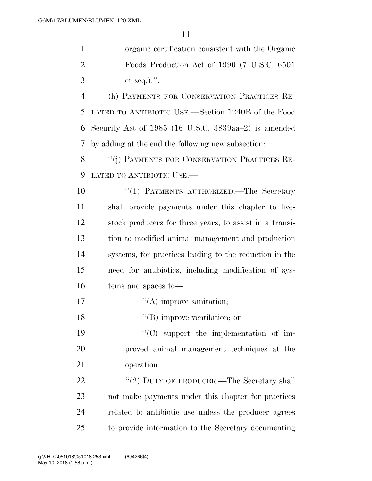|   | organic certification consistent with the Organic    |
|---|------------------------------------------------------|
|   | Foods Production Act of 1990 (7 U.S.C. 6501)         |
| 3 | et seq.).".                                          |
|   | (h) PAYMENTS FOR CONSERVATION PRACTICES RE-          |
|   | 5 LATED TO ANTIBIOTIC USE.—Section 1240B of the Food |

 Security Act of 1985 (16 U.S.C. 3839aa–2) is amended by adding at the end the following new subsection:

8 "(j) PAYMENTS FOR CONSERVATION PRACTICES RE-LATED TO ANTIBIOTIC USE.—

10 ''(1) PAYMENTS AUTHORIZED.—The Secretary shall provide payments under this chapter to live- stock producers for three years, to assist in a transi- tion to modified animal management and production systems, for practices leading to the reduction in the need for antibiotics, including modification of sys-tems and spaces to—

17  $"({\rm A})$  improve sanitation;

''(B) improve ventilation; or

19  $\cdot$  (C) support the implementation of im- proved animal management techniques at the operation.

22 "(2) DUTY OF PRODUCER.—The Secretary shall not make payments under this chapter for practices related to antibiotic use unless the producer agrees to provide information to the Secretary documenting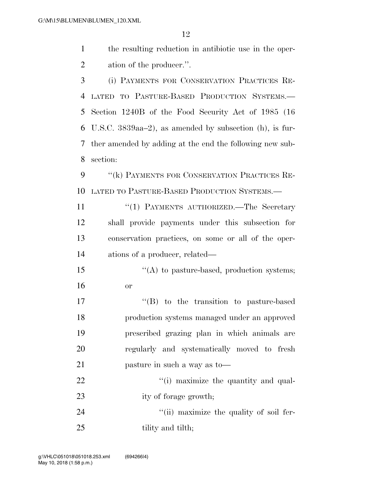| the resulting reduction in antibiotic use in the oper- |
|--------------------------------------------------------|
| ation of the producer.".                               |

 (i) PAYMENTS FOR CONSERVATION PRACTICES RE- LATED TO PASTURE-BASED PRODUCTION SYSTEMS.— Section 1240B of the Food Security Act of 1985 (16 U.S.C. 3839aa–2), as amended by subsection (h), is fur- ther amended by adding at the end the following new sub-section:

9 "(k) PAYMENTS FOR CONSERVATION PRACTICES RE-LATED TO PASTURE-BASED PRODUCTION SYSTEMS.—

11 ''(1) PAYMENTS AUTHORIZED.—The Secretary shall provide payments under this subsection for conservation practices, on some or all of the oper-ations of a producer, related—

15 "(A) to pasture-based, production systems; or

 $\text{``(B)}$  to the transition to pasture-based production systems managed under an approved prescribed grazing plan in which animals are regularly and systematically moved to fresh pasture in such a way as to—

22  $\frac{1}{2}$   $\frac{1}{2}$   $\frac{1}{2}$  maximize the quantity and qual-23 ity of forage growth;

24  $\frac{1}{1}$  maximize the quality of soil fer-25 tility and tilth;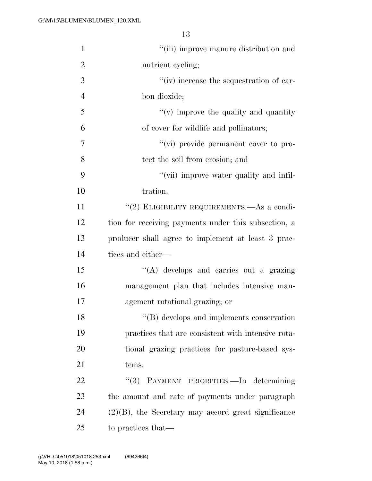| $\mathbf{1}$   | "(iii) improve manure distribution and                 |
|----------------|--------------------------------------------------------|
| $\overline{2}$ | nutrient cycling;                                      |
| 3              | "(iv) increase the sequestration of car-               |
| $\overline{4}$ | bon dioxide;                                           |
| 5              | $f'(v)$ improve the quality and quantity               |
| 6              | of cover for wildlife and pollinators;                 |
| 7              | "(vi) provide permanent cover to pro-                  |
| 8              | tect the soil from erosion; and                        |
| 9              | "(vii) improve water quality and infil-                |
| 10             | tration.                                               |
| 11             | "(2) ELIGIBILITY REQUIREMENTS.—As a condi-             |
| 12             | tion for receiving payments under this subsection, a   |
| 13             | producer shall agree to implement at least 3 prac-     |
| 14             | tices and either—                                      |
| 15             | "(A) develops and carries out a grazing                |
| 16             | management plan that includes intensive man-           |
| 17             | agement rotational grazing; or                         |
| 18             | "(B) develops and implements conservation              |
| 19             | practices that are consistent with intensive rota-     |
| 20             | tional grazing practices for pasture-based sys-        |
| 21             | tems.                                                  |
| 22             | PAYMENT PRIORITIES.-In determining<br>(3)              |
| 23             | the amount and rate of payments under paragraph        |
| 24             | $(2)(B)$ , the Secretary may accord great significance |
| 25             | to practices that—                                     |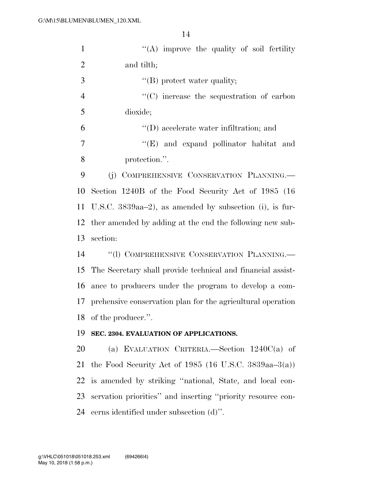| $\mathbf{1}$   | $\lq\lq$ improve the quality of soil fertility              |
|----------------|-------------------------------------------------------------|
| $\overline{2}$ | and tilth;                                                  |
| 3              | $\lq\lq$ protect water quality;                             |
| $\overline{4}$ | $\cdot$ (C) increase the sequestration of carbon            |
| 5              | dioxide;                                                    |
| 6              | $\lq\lq$ (D) accelerate water infiltration; and             |
| 7              | "(E) and expand pollinator habitat and                      |
| 8              | protection.".                                               |
| 9              | (j) COMPREHENSIVE CONSERVATION PLANNING.                    |
| 10             | Section 1240B of the Food Security Act of 1985 (16)         |
| 11             | U.S.C. $3839aa-2$ ), as amended by subsection (i), is fur-  |
| 12             | ther amended by adding at the end the following new sub-    |
| 13             | section:                                                    |
| 14             | "(1) COMPREHENSIVE CONSERVATION PLANNING.-                  |
| 15             | The Secretary shall provide technical and financial assist- |
| 16             | ance to producers under the program to develop a com-       |
| 17             | prehensive conservation plan for the agricultural operation |
|                | 18 of the producer.".                                       |
| 19             | SEC. 2304. EVALUATION OF APPLICATIONS.                      |
| 20             | (a) EVALUATION CRITERIA.—Section $1240C(a)$ of              |
| 21             | the Food Security Act of 1985 (16 U.S.C. 3839aa–3(a))       |
| 22             | is amended by striking "national, State, and local con-     |
| 23             | servation priorities" and inserting "priority resource con- |
| 24             | cerns identified under subsection (d)".                     |
|                |                                                             |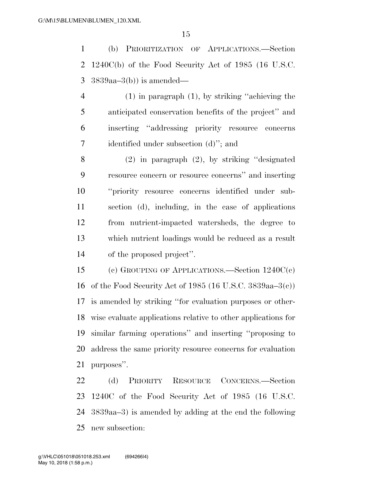(b) PRIORITIZATION OF APPLICATIONS.—Section 1240C(b) of the Food Security Act of 1985 (16 U.S.C. 3839aa–3(b)) is amended—

 (1) in paragraph (1), by striking ''achieving the anticipated conservation benefits of the project'' and inserting ''addressing priority resource concerns identified under subsection (d)''; and

 (2) in paragraph (2), by striking ''designated resource concern or resource concerns'' and inserting ''priority resource concerns identified under sub- section (d), including, in the case of applications from nutrient-impacted watersheds, the degree to which nutrient loadings would be reduced as a result of the proposed project''.

 (c) GROUPING OF APPLICATIONS.—Section 1240C(c) of the Food Security Act of 1985 (16 U.S.C. 3839aa–3(c)) is amended by striking ''for evaluation purposes or other- wise evaluate applications relative to other applications for similar farming operations'' and inserting ''proposing to address the same priority resource concerns for evaluation purposes''.

 (d) PRIORITY RESOURCE CONCERNS.—Section 1240C of the Food Security Act of 1985 (16 U.S.C. 3839aa–3) is amended by adding at the end the following new subsection: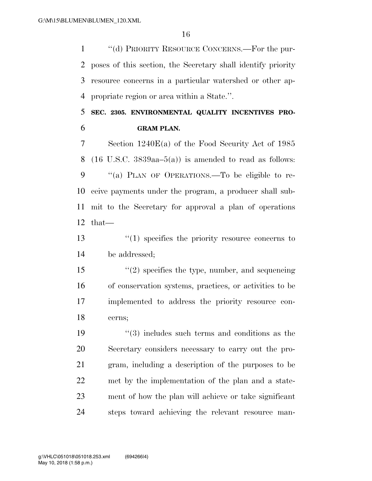''(d) PRIORITY RESOURCE CONCERNS.—For the pur- poses of this section, the Secretary shall identify priority resource concerns in a particular watershed or other ap-propriate region or area within a State.''.

 **SEC. 2305. ENVIRONMENTAL QUALITY INCENTIVES PRO-GRAM PLAN.** 

 Section 1240E(a) of the Food Security Act of 1985 8 (16 U.S.C.  $3839aa-5(a)$ ) is amended to read as follows: 9 "(a) PLAN OF OPERATIONS.—To be eligible to re- ceive payments under the program, a producer shall sub- mit to the Secretary for approval a plan of operations that—

 ''(1) specifies the priority resource concerns to be addressed;

 ''(2) specifies the type, number, and sequencing of conservation systems, practices, or activities to be implemented to address the priority resource con-cerns;

 ''(3) includes such terms and conditions as the Secretary considers necessary to carry out the pro- gram, including a description of the purposes to be met by the implementation of the plan and a state- ment of how the plan will achieve or take significant steps toward achieving the relevant resource man-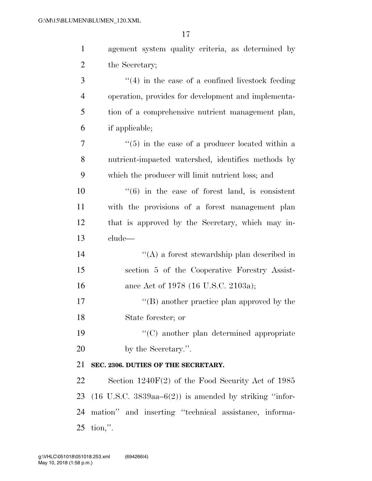| $\mathbf{1}$   | agement system quality criteria, as determined by                      |
|----------------|------------------------------------------------------------------------|
| $\overline{2}$ | the Secretary;                                                         |
| 3              | $\cdot$ (4) in the case of a confined livestock feeding                |
| $\overline{4}$ | operation, provides for development and implementa-                    |
| 5              | tion of a comprehensive nutrient management plan,                      |
| 6              | if applicable;                                                         |
| 7              | $\cdot\cdot$ (5) in the case of a producer located within a            |
| 8              | nutrient-impacted watershed, identifies methods by                     |
| 9              | which the producer will limit nutrient loss; and                       |
| 10             | $\cdot\cdot\cdot(6)$ in the case of forest land, is consistent         |
| 11             | with the provisions of a forest management plan                        |
| 12             | that is approved by the Secretary, which may in-                       |
| 13             | clude—                                                                 |
| 14             | $\lq\lq$ a forest stewardship plan described in                        |
| 15             | section 5 of the Cooperative Forestry Assist-                          |
| 16             | ance Act of 1978 (16 U.S.C. 2103a);                                    |
| 17             | $\lq\lq (B)$ another practice plan approved by the                     |
| 18             | State forester; or                                                     |
| 19             | $\lq\lq$ another plan determined appropriate                           |
| 20             | by the Secretary.".                                                    |
| 21             | SEC. 2306. DUTIES OF THE SECRETARY.                                    |
| 22             | Section $1240F(2)$ of the Food Security Act of 1985                    |
| 23             | $(16 \text{ U.S.C. } 3839$ aa $-6(2)$ ) is amended by striking "infor- |
| 24             | mation" and inserting "technical assistance, informa-                  |
| 25             | $\text{tion}, \text{''}.$                                              |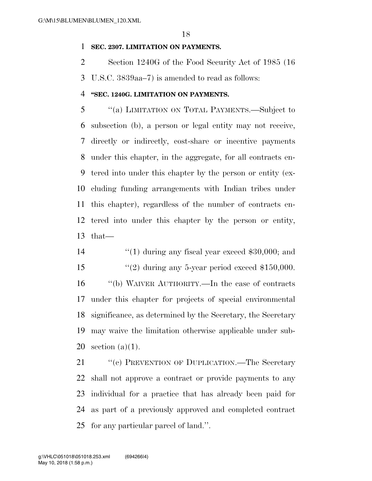## **SEC. 2307. LIMITATION ON PAYMENTS.**

Section 1240G of the Food Security Act of 1985 (16

U.S.C. 3839aa–7) is amended to read as follows:

# **''SEC. 1240G. LIMITATION ON PAYMENTS.**

 ''(a) LIMITATION ON TOTAL PAYMENTS.—Subject to subsection (b), a person or legal entity may not receive, directly or indirectly, cost-share or incentive payments under this chapter, in the aggregate, for all contracts en- tered into under this chapter by the person or entity (ex- cluding funding arrangements with Indian tribes under this chapter), regardless of the number of contracts en- tered into under this chapter by the person or entity, that—

- 14 ''(1) during any fiscal year exceed \$30,000; and
- 15  $\frac{1}{2}$   $(2)$  during any 5-year period exceed \$150,000.

 ''(b) WAIVER AUTHORITY.—In the case of contracts under this chapter for projects of special environmental significance, as determined by the Secretary, the Secretary may waive the limitation otherwise applicable under sub-section (a)(1).

21 "(c) PREVENTION OF DUPLICATION.—The Secretary shall not approve a contract or provide payments to any individual for a practice that has already been paid for as part of a previously approved and completed contract for any particular parcel of land.''.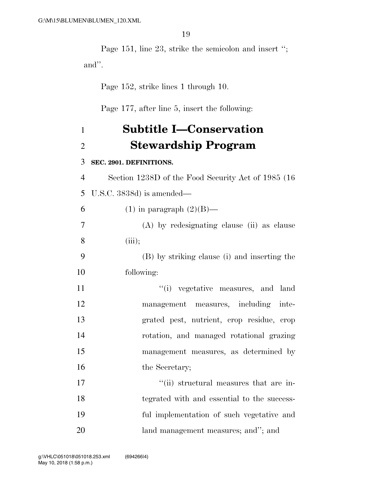Page 151, line 23, strike the semicolon and insert ''; and''.

Page 152, strike lines 1 through 10.

Page 177, after line 5, insert the following:

# **Subtitle I—Conservation Stewardship Program**

### **SEC. 2901. DEFINITIONS.**

 Section 1238D of the Food Security Act of 1985 (16 U.S.C. 3838d) is amended—

6 (1) in paragraph  $(2)(B)$ —

 (A) by redesignating clause (ii) as clause (iii);

 (B) by striking clause (i) and inserting the following:

 $\frac{1}{1}$  vegetative measures, and land management measures, including inte- grated pest, nutrient, crop residue, crop rotation, and managed rotational grazing management measures, as determined by 16 the Secretary;

 $\frac{1}{10}$  structural measures that are in- tegrated with and essential to the success- ful implementation of such vegetative and land management measures; and''; and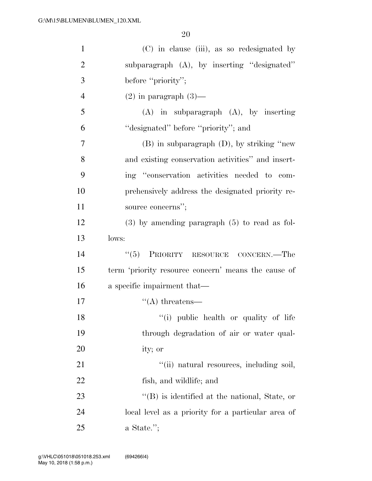| $\mathbf{1}$   | (C) in clause (iii), as so redesignated by          |
|----------------|-----------------------------------------------------|
| $\overline{2}$ | subparagraph (A), by inserting "designated"         |
| 3              | before "priority";                                  |
| $\overline{4}$ | $(2)$ in paragraph $(3)$ —                          |
| 5              | $(A)$ in subparagraph $(A)$ , by inserting          |
| 6              | "designated" before "priority"; and                 |
| 7              | $(B)$ in subparagraph $(D)$ , by striking "new      |
| 8              | and existing conservation activities" and insert-   |
| 9              | ing "conservation activities needed to com-         |
| 10             | prehensively address the designated priority re-    |
| 11             | source concerns";                                   |
| 12             | $(3)$ by amending paragraph $(5)$ to read as fol-   |
| 13             | lows:                                               |
| 14             | PRIORITY RESOURCE CONCERN.—The<br>(5)               |
| 15             | term 'priority resource concern' means the cause of |
| 16             | a specific impairment that—                         |
| 17             | $\lq\lq$ threatens—                                 |
| 18             | "(i) public health or quality of life"              |
| 19             | through degradation of air or water qual-           |
| 20             | ity; or                                             |
| 21             | "(ii) natural resources, including soil,            |
| 22             | fish, and wildlife; and                             |
| 23             | "(B) is identified at the national, State, or       |
| 24             | local level as a priority for a particular area of  |
| 25             | $a$ State.";                                        |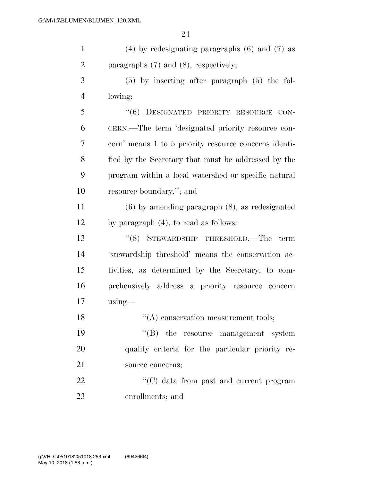| $\mathbf{1}$   | $(4)$ by redesignating paragraphs $(6)$ and $(7)$ as  |
|----------------|-------------------------------------------------------|
| $\overline{2}$ | paragraphs $(7)$ and $(8)$ , respectively;            |
| 3              | $(5)$ by inserting after paragraph $(5)$ the fol-     |
| $\overline{4}$ | lowing:                                               |
| 5              | "(6) DESIGNATED PRIORITY RESOURCE CON-                |
| 6              | CERN.—The term 'designated priority resource con-     |
| 7              | cern' means 1 to 5 priority resource concerns identi- |
| 8              | fied by the Secretary that must be addressed by the   |
| 9              | program within a local watershed or specific natural  |
| 10             | resource boundary."; and                              |
| 11             | $(6)$ by amending paragraph $(8)$ , as redesignated   |
| 12             | by paragraph $(4)$ , to read as follows:              |
| 13             | $\lq(8)$ STEWARDSHIP THRESHOLD.—The<br>term           |
| 14             | 'stewardship threshold' means the conservation ac-    |
| 15             | tivities, as determined by the Secretary, to com-     |
| 16             | prehensively address a priority resource concern      |
| 17             | $using$ —                                             |
| 18             | $\lq\lq$ conservation measurement tools;              |
| 19             | $\lq\lq$ (B) the resource management system           |
| 20             | quality criteria for the particular priority re-      |
| 21             | source concerns;                                      |
| 22             | "(C) data from past and current program               |
| 23             | enrollments; and                                      |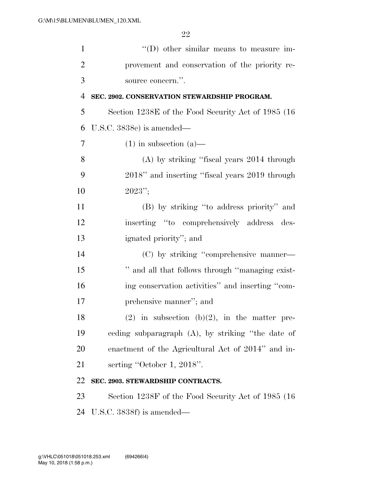| $\mathbf{1}$   | $\lq\lq$ other similar means to measure im-          |
|----------------|------------------------------------------------------|
| $\overline{2}$ | provement and conservation of the priority re-       |
| 3              | source concern.".                                    |
| $\overline{4}$ | SEC. 2902. CONSERVATION STEWARDSHIP PROGRAM.         |
| 5              | Section 1238E of the Food Security Act of 1985 (16)  |
| 6              | U.S.C. $3838e$ is amended—                           |
| 7              | $(1)$ in subsection $(a)$ —                          |
| 8              | $(A)$ by striking "fiscal years 2014 through         |
| 9              | 2018" and inserting "fiscal years 2019 through       |
| 10             | $2023$ ";                                            |
| 11             | (B) by striking "to address priority" and            |
| 12             | inserting "to comprehensively address<br>des-        |
| 13             | ignated priority"; and                               |
| 14             | (C) by striking "comprehensive manner—               |
| 15             | " and all that follows through "managing exist-      |
| 16             | ing conservation activities" and inserting "com-     |
| 17             | prehensive manner"; and                              |
| 18             | $(2)$ in subsection $(b)(2)$ , in the matter pre-    |
| 19             | ceding subparagraph $(A)$ , by striking "the date of |
| 20             | enactment of the Agricultural Act of 2014" and in-   |
| 21             | serting "October 1, 2018".                           |
| 22             | SEC. 2903. STEWARDSHIP CONTRACTS.                    |
| 23             | Section 1238F of the Food Security Act of 1985 (16)  |
| 24             | U.S.C. $3838f$ ) is amended—                         |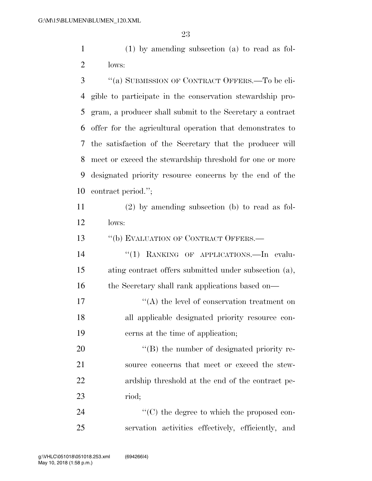(1) by amending subsection (a) to read as fol-lows:

 ''(a) SUBMISSION OF CONTRACT OFFERS.—To be eli- gible to participate in the conservation stewardship pro- gram, a producer shall submit to the Secretary a contract offer for the agricultural operation that demonstrates to the satisfaction of the Secretary that the producer will meet or exceed the stewardship threshold for one or more designated priority resource concerns by the end of the contract period.'';

 (2) by amending subsection (b) to read as fol-lows:

13 "(b) EVALUATION OF CONTRACT OFFERS.—

14 "(1) RANKING OF APPLICATIONS.—In evalu- ating contract offers submitted under subsection (a), 16 the Secretary shall rank applications based on—

17  $\langle (A)$  the level of conservation treatment on all applicable designated priority resource con-cerns at the time of application;

20 "(B) the number of designated priority re- source concerns that meet or exceed the stew- ardship threshold at the end of the contract pe-riod;

24  $\langle ^{\prime}(C) \rangle$  the degree to which the proposed con-servation activities effectively, efficiently, and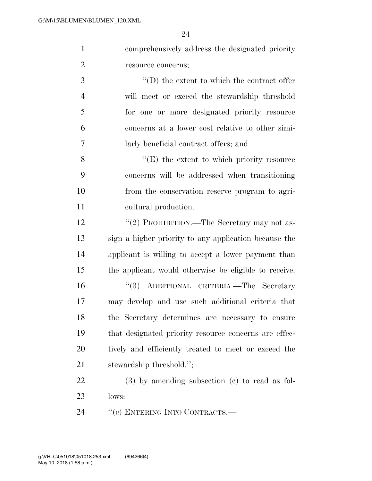comprehensively address the designated priority resource concerns;

 ''(D) the extent to which the contract offer will meet or exceed the stewardship threshold for one or more designated priority resource concerns at a lower cost relative to other simi-larly beneficial contract offers; and

8 ''(E) the extent to which priority resource concerns will be addressed when transitioning from the conservation reserve program to agri-cultural production.

12 "(2) PROHIBITION.—The Secretary may not as- sign a higher priority to any application because the applicant is willing to accept a lower payment than the applicant would otherwise be eligible to receive. ''(3) ADDITIONAL CRITERIA.—The Secretary may develop and use such additional criteria that the Secretary determines are necessary to ensure that designated priority resource concerns are effec-20 tively and efficiently treated to meet or exceed the stewardship threshold.'';

 (3) by amending subsection (c) to read as fol-lows:

24 "(c) ENTERING INTO CONTRACTS.—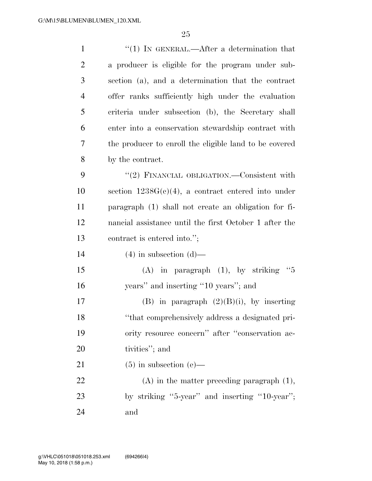| $\mathbf{1}$   | "(1) IN GENERAL.—After a determination that            |
|----------------|--------------------------------------------------------|
| $\overline{2}$ | a producer is eligible for the program under sub-      |
| 3              | section (a), and a determination that the contract     |
| $\overline{4}$ | offer ranks sufficiently high under the evaluation     |
| 5              | criteria under subsection (b), the Secretary shall     |
| 6              | enter into a conservation stewardship contract with    |
| 7              | the producer to enroll the eligible land to be covered |
| 8              | by the contract.                                       |
| 9              | "(2) FINANCIAL OBLIGATION.—Consistent with             |
| 10             | section $1238G(c)(4)$ , a contract entered into under  |
| 11             | paragraph (1) shall not create an obligation for fi-   |
| 12             | nancial assistance until the first October 1 after the |
| 13             | contract is entered into.";                            |
| 14             | $(4)$ in subsection $(d)$ —                            |
| 15             | (A) in paragraph $(1)$ , by striking "5                |
| 16             | years" and inserting "10 years"; and                   |
| 17             | (B) in paragraph $(2)(B)(i)$ , by inserting            |
| 18             | "that comprehensively address a designated pri-        |
| 19             | ority resource concern" after "conservation ac-        |
| 20             |                                                        |
|                | tivities"; and                                         |
| 21             | $(5)$ in subsection (e)—                               |
| 22             | $(A)$ in the matter preceding paragraph $(1)$ ,        |
| 23             | by striking "5-year" and inserting "10-year";          |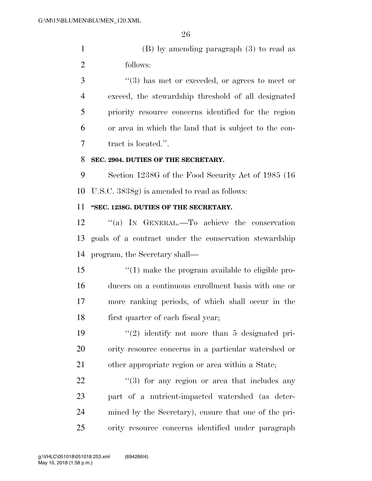(B) by amending paragraph (3) to read as follows:

 ''(3) has met or exceeded, or agrees to meet or exceed, the stewardship threshold of all designated priority resource concerns identified for the region or area in which the land that is subject to the con-tract is located.''.

#### **SEC. 2904. DUTIES OF THE SECRETARY.**

 Section 1238G of the Food Security Act of 1985 (16 U.S.C. 3838g) is amended to read as follows:

# **''SEC. 1238G. DUTIES OF THE SECRETARY.**

 ''(a) IN GENERAL.—To achieve the conservation goals of a contract under the conservation stewardship program, the Secretary shall—

 $\frac{1}{2}$  (1) make the program available to eligible pro- ducers on a continuous enrollment basis with one or more ranking periods, of which shall occur in the first quarter of each fiscal year;

 ''(2) identify not more than 5 designated pri- ority resource concerns in a particular watershed or other appropriate region or area within a State;

 ''(3) for any region or area that includes any part of a nutrient-impacted watershed (as deter- mined by the Secretary), ensure that one of the pri-ority resource concerns identified under paragraph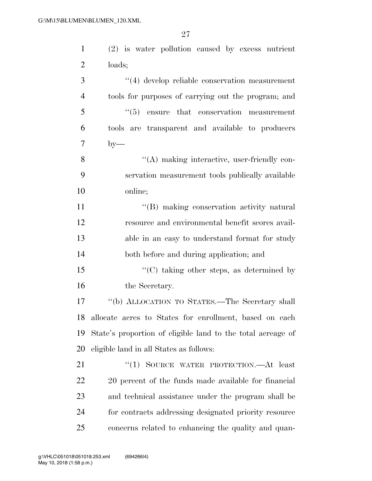(2) is water pollution caused by excess nutrient loads; ''(4) develop reliable conservation measurement tools for purposes of carrying out the program; and ''(5) ensure that conservation measurement

tools are transparent and available to producers

by —

8 ''(A) making interactive, user-friendly con- servation measurement tools publically available online;

 $\langle G \rangle$  making conservation activity natural resource and environmental benefit scores avail- able in an easy to understand format for study both before and during application; and

15 "'(C) taking other steps, as determined by 16 the Secretary.

 ''(b) ALLOCATION TO STATES.—The Secretary shall allocate acres to States for enrollment, based on each State's proportion of eligible land to the total acreage of eligible land in all States as follows:

21 "(1) SOURCE WATER PROTECTION.—At least 22 20 percent of the funds made available for financial and technical assistance under the program shall be for contracts addressing designated priority resource concerns related to enhancing the quality and quan-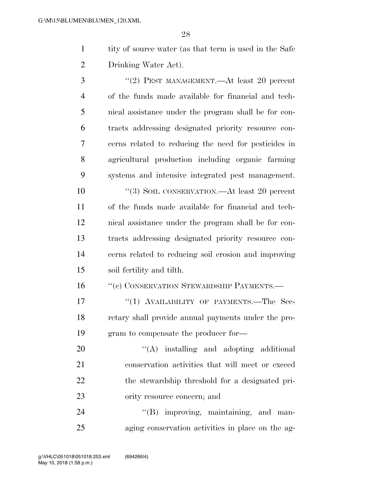1 tity of source water (as that term is used in the Safe Drinking Water Act).

3 "(2) PEST MANAGEMENT.—At least 20 percent of the funds made available for financial and tech- nical assistance under the program shall be for con- tracts addressing designated priority resource con- cerns related to reducing the need for pesticides in agricultural production including organic farming systems and intensive integrated pest management.

 ''(3) SOIL CONSERVATION.—At least 20 percent of the funds made available for financial and tech- nical assistance under the program shall be for con- tracts addressing designated priority resource con- cerns related to reducing soil erosion and improving soil fertility and tilth.

16 "'(c) CONSERVATION STEWARDSHIP PAYMENTS.—

17 "(1) AVAILABILITY OF PAYMENTS.—The Sec- retary shall provide annual payments under the pro-gram to compensate the producer for—

20 "'(A) installing and adopting additional conservation activities that will meet or exceed the stewardship threshold for a designated pri-ority resource concern; and

24 "(B) improving, maintaining, and man-aging conservation activities in place on the ag-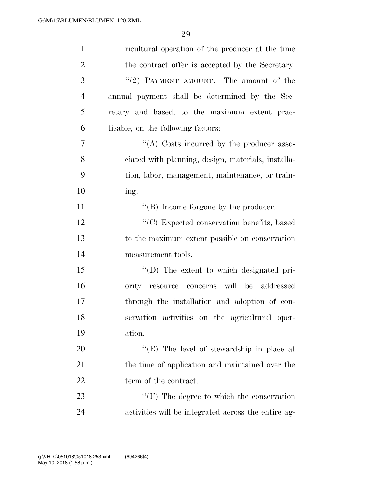| $\mathbf{1}$   | ricultural operation of the producer at the time    |
|----------------|-----------------------------------------------------|
| $\overline{2}$ | the contract offer is accepted by the Secretary.    |
| 3              | "(2) PAYMENT AMOUNT.—The amount of the              |
| $\overline{4}$ | annual payment shall be determined by the Sec-      |
| 5              | retary and based, to the maximum extent prac-       |
| 6              | ticable, on the following factors:                  |
| 7              | "(A) Costs incurred by the producer asso-           |
| 8              | ciated with planning, design, materials, installa-  |
| 9              | tion, labor, management, maintenance, or train-     |
| 10             | ing.                                                |
| 11             | "(B) Income forgone by the producer.                |
| 12             | "(C) Expected conservation benefits, based          |
| 13             | to the maximum extent possible on conservation      |
| 14             | measurement tools.                                  |
| 15             | "(D) The extent to which designated pri-            |
| 16             | ority resource concerns will be addressed           |
| 17             | through the installation and adoption of con-       |
| 18             | servation activities on the agricultural oper-      |
| 19             | ation.                                              |
| 20             | "(E) The level of stewardship in place at           |
| 21             | the time of application and maintained over the     |
| 22             | term of the contract.                               |
| 23             | $\lq\lq(F)$ The degree to which the conservation    |
| 24             | activities will be integrated across the entire ag- |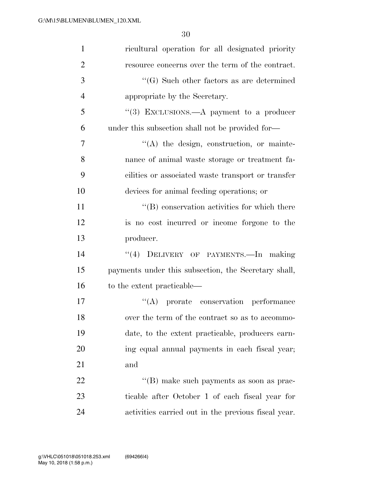| $\mathbf{1}$   | ricultural operation for all designated priority     |
|----------------|------------------------------------------------------|
| $\overline{2}$ | resource concerns over the term of the contract.     |
| 3              | $\lq\lq(G)$ Such other factors as are determined     |
| $\overline{4}$ | appropriate by the Secretary.                        |
| 5              | "(3) EXCLUSIONS.—A payment to a producer             |
| 6              | under this subsection shall not be provided for—     |
| 7              | "(A) the design, construction, or mainte-            |
| 8              | nance of animal waste storage or treatment fa-       |
| 9              | cilities or associated waste transport or transfer   |
| 10             | devices for animal feeding operations; or            |
| 11             | "(B) conservation activities for which there         |
| 12             | is no cost incurred or income forgone to the         |
| 13             | producer.                                            |
| 14             | DELIVERY OF PAYMENTS.-In making<br>(4)               |
| 15             | payments under this subsection, the Secretary shall, |
| 16             | to the extent practicable—                           |
| 17             | "(A) prorate conservation performance                |
| 18             | over the term of the contract so as to accommo-      |
| 19             | date, to the extent practicable, producers earn-     |
| 20             | ing equal annual payments in each fiscal year;       |
| 21             | and                                                  |
| 22             | $\lq\lq (B)$ make such payments as soon as prac-     |
| 23             | ticable after October 1 of each fiscal year for      |
| 24             | activities carried out in the previous fiscal year.  |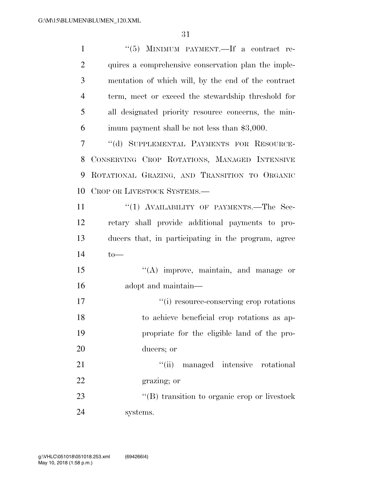| $\mathbf{1}$   | "(5) MINIMUM PAYMENT.—If a contract re-             |
|----------------|-----------------------------------------------------|
| $\overline{2}$ | quires a comprehensive conservation plan the imple- |
| 3              | mentation of which will, by the end of the contract |
| $\overline{4}$ | term, meet or exceed the stewardship threshold for  |
| 5              | all designated priority resource concerns, the min- |
| 6              | imum payment shall be not less than \$3,000.        |
| 7              | "(d) SUPPLEMENTAL PAYMENTS FOR RESOURCE-            |
| 8              | CONSERVING CROP ROTATIONS, MANAGED INTENSIVE        |
| 9              | ROTATIONAL GRAZING, AND TRANSITION TO ORGANIC       |
| 10             | CROP OR LIVESTOCK SYSTEMS.-                         |
| 11             | "(1) AVAILABILITY OF PAYMENTS.—The Sec-             |
| 12             | retary shall provide additional payments to pro-    |
| 13             | ducers that, in participating in the program, agree |
| 14             | $to-$                                               |
| 15             | $\lq\lq$ improve, maintain, and manage or           |
| 16             | adopt and maintain—                                 |
| 17             | "(i) resource-conserving crop rotations             |
| 18             | to achieve beneficial crop rotations as ap-         |
| 19             | propriate for the eligible land of the pro-         |
| 20             | ducers; or                                          |
| 21             | "(ii) managed intensive rotational                  |
| 22             | grazing; or                                         |
| 23             | $\lq\lq$ transition to organic crop or livestock    |
| 24             | systems.                                            |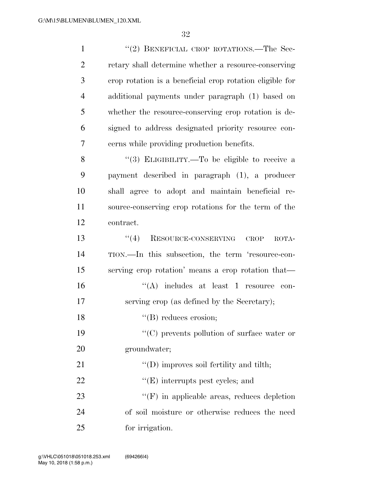| $\mathbf{1}$   | "(2) BENEFICIAL CROP ROTATIONS.—The Sec-                 |
|----------------|----------------------------------------------------------|
| $\overline{c}$ | retary shall determine whether a resource-conserving     |
| 3              | crop rotation is a beneficial crop rotation eligible for |
| $\overline{4}$ | additional payments under paragraph (1) based on         |
| 5              | whether the resource-conserving crop rotation is de-     |
| 6              | signed to address designated priority resource con-      |
| 7              | cerns while providing production benefits.               |
| 8              | "(3) ELIGIBILITY.—To be eligible to receive a            |
| 9              | payment described in paragraph (1), a producer           |
| 10             | shall agree to adopt and maintain beneficial re-         |
| 11             | source-conserving crop rotations for the term of the     |
| 12             | contract.                                                |
| 13             | RESOURCE-CONSERVING<br>(4)<br>CROP<br>ROTA-              |
| 14             | TION.—In this subsection, the term 'resource-con-        |
| 15             | serving crop rotation' means a crop rotation that—       |
| 16             | $\lq\lq$ includes at least 1 resource<br>con-            |
| 17             | serving crop (as defined by the Secretary);              |
| 18             | $\lq\lq (B)$ reduces erosion;                            |
| 19             | "(C) prevents pollution of surface water or              |
| 20             | groundwater;                                             |
| 21             | $\lq\lq$ (D) improves soil fertility and tilth;          |
| 22             | $\lq\lq$ (E) interrupts pest cycles; and                 |
| 23             | $``(F)$ in applicable areas, reduces depletion           |
| 24             | of soil moisture or otherwise reduces the need           |
| 25             | for irrigation.                                          |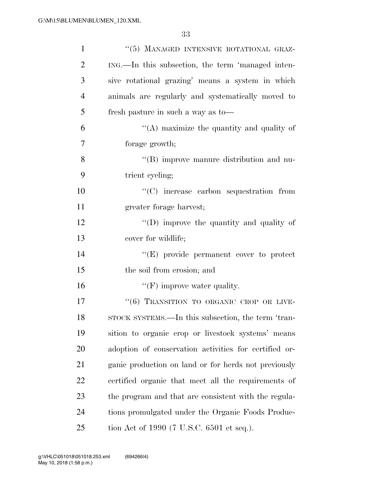| $\mathbf{1}$   | "(5) MANAGED INTENSIVE ROTATIONAL GRAZ-               |
|----------------|-------------------------------------------------------|
| $\overline{2}$ | ING.—In this subsection, the term 'managed inten-     |
| 3              | sive rotational grazing' means a system in which      |
| $\overline{4}$ | animals are regularly and systematically moved to     |
| 5              | fresh pasture in such a way as to-                    |
| 6              | $\lq\lq$ maximize the quantity and quality of         |
| 7              | forage growth;                                        |
| 8              | "(B) improve manure distribution and nu-              |
| 9              | trient cycling;                                       |
| 10             | $\lq\lq$ increase carbon sequestration from           |
| 11             | greater forage harvest;                               |
| 12             | $\lq\lq$ (D) improve the quantity and quality of      |
| 13             | cover for wildlife;                                   |
| 14             | $\lq\lq(E)$ provide permanent cover to protect        |
| 15             | the soil from erosion; and                            |
| 16             | $\lq\lq(F)$ improve water quality.                    |
| 17             | "(6) TRANSITION TO ORGANIC CROP OR LIVE-              |
| 18             | STOCK SYSTEMS.—In this subsection, the term 'tran-    |
| 19             | sition to organic crop or livestock systems' means    |
| 20             | adoption of conservation activities for certified or- |
| 21             | ganic production on land or for herds not previously  |
| 22             | certified organic that meet all the requirements of   |
| 23             | the program and that are consistent with the regula-  |
| 24             | tions promulgated under the Organic Foods Produc-     |
| 25             | tion Act of 1990 (7 U.S.C. 6501 et seq.).             |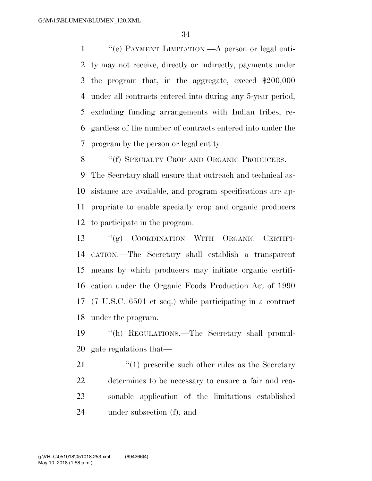''(e) PAYMENT LIMITATION.—A person or legal enti- ty may not receive, directly or indirectly, payments under the program that, in the aggregate, exceed \$200,000 under all contracts entered into during any 5-year period, excluding funding arrangements with Indian tribes, re- gardless of the number of contracts entered into under the program by the person or legal entity.

8 "(f) SPECIALTY CROP AND ORGANIC PRODUCERS.— The Secretary shall ensure that outreach and technical as- sistance are available, and program specifications are ap- propriate to enable specialty crop and organic producers to participate in the program.

 ''(g) COORDINATION WITH ORGANIC CERTIFI- CATION.—The Secretary shall establish a transparent means by which producers may initiate organic certifi- cation under the Organic Foods Production Act of 1990 (7 U.S.C. 6501 et seq.) while participating in a contract under the program.

 ''(h) REGULATIONS.—The Secretary shall promul-gate regulations that—

21 ''(1) prescribe such other rules as the Secretary determines to be necessary to ensure a fair and rea- sonable application of the limitations established under subsection (f); and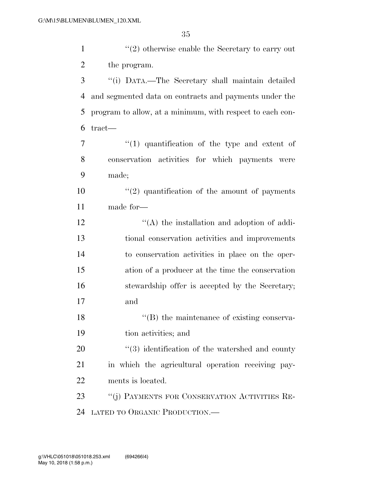| $\mathbf{1}$   | $\lq(2)$ otherwise enable the Secretary to carry out      |
|----------------|-----------------------------------------------------------|
| $\overline{c}$ | the program.                                              |
| 3              | "(i) DATA.—The Secretary shall maintain detailed          |
| $\overline{4}$ | and segmented data on contracts and payments under the    |
| 5              | program to allow, at a minimum, with respect to each con- |
| 6              | $\text{tract}$ —                                          |
| 7              | "(1) quantification of the type and extent of             |
| 8              | conservation activities for which payments were           |
| 9              | made;                                                     |
| 10             | $"(2)$ quantification of the amount of payments           |
| 11             | made for-                                                 |
| 12             | $\lq\lq$ the installation and adoption of addi-           |
| 13             | tional conservation activities and improvements           |
| 14             | to conservation activities in place on the oper-          |
| 15             | ation of a producer at the time the conservation          |
| 16             | stewardship offer is accepted by the Secretary;           |
| 17             | and                                                       |
| 18             | $\lq\lq$ (B) the maintenance of existing conserva-        |
| 19             | tion activities; and                                      |
| 20             | "(3) identification of the watershed and county           |
| 21             | in which the agricultural operation receiving pay-        |
| 22             | ments is located.                                         |
| 23             | "(j) PAYMENTS FOR CONSERVATION ACTIVITIES RE-             |
| 24             | LATED TO ORGANIC PRODUCTION.                              |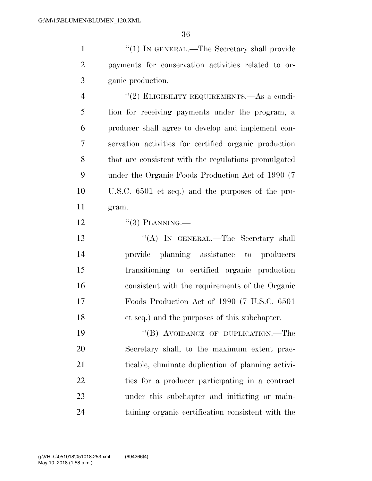1 ''(1) IN GENERAL.—The Secretary shall provide payments for conservation activities related to or-ganic production.

 ''(2) ELIGIBILITY REQUIREMENTS.—As a condi- tion for receiving payments under the program, a producer shall agree to develop and implement con- servation activities for certified organic production that are consistent with the regulations promulgated under the Organic Foods Production Act of 1990 (7 U.S.C. 6501 et seq.) and the purposes of the pro-gram.

12  $\frac{((3) \text{PLANNING}}{}$ 

13 "(A) IN GENERAL.—The Secretary shall provide planning assistance to producers transitioning to certified organic production consistent with the requirements of the Organic Foods Production Act of 1990 (7 U.S.C. 6501 et seq.) and the purposes of this subchapter.

19 "(B) AVOIDANCE OF DUPLICATION.—The Secretary shall, to the maximum extent prac- ticable, eliminate duplication of planning activi- ties for a producer participating in a contract under this subchapter and initiating or main-taining organic certification consistent with the